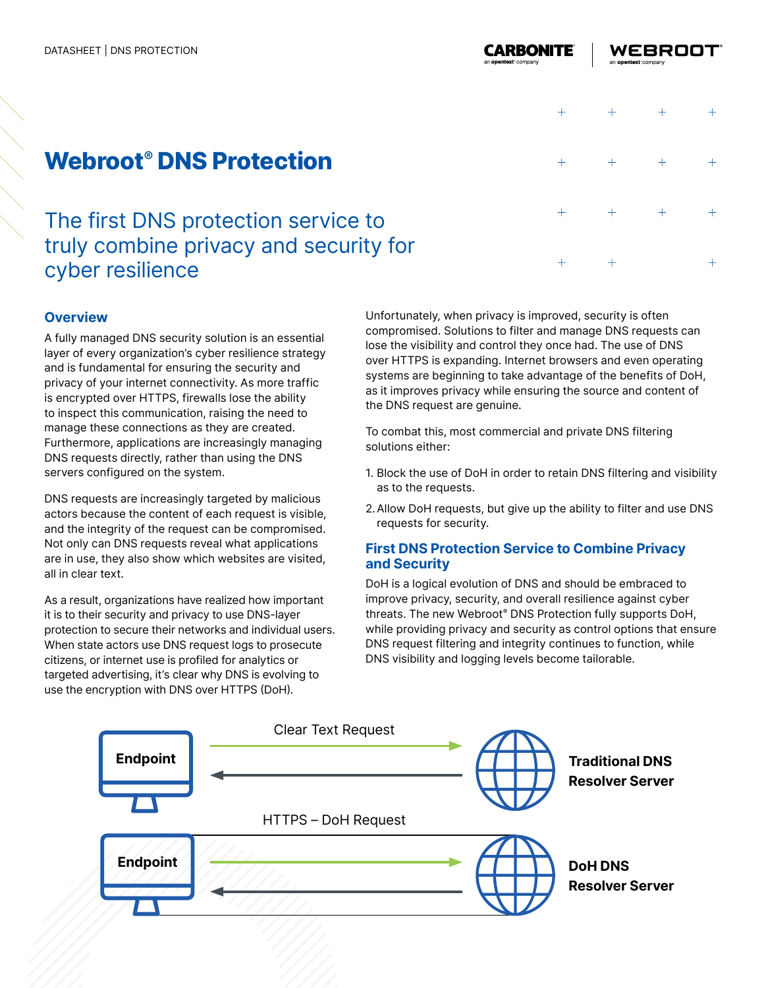$+$ 

 $+$ 

 $+$ 

 $+$ 

# **Webroot® DNS Protection**

## The first DNS protection service to truly combine privacy and security for cyber resilience

### **Overview**

A fully managed DNS security solution is an essential layer of every organization's cyber resilience strategy and is fundamental for ensuring the security and privacy of your internet connectivity. As more traffic is encrypted over HTTPS, firewalls lose the ability to inspect this communication, raising the need to manage these connections as they are created. Furthermore, applications are increasingly managing DNS requests directly, rather than using the DNS servers configured on the system.

DNS requests are increasingly targeted by malicious actors because the content of each request is visible, and the integrity of the request can be compromised. Not only can DNS requests reveal what applications are in use, they also show which websites are visited, all in clear text.

As a result, organizations have realized how important it is to their security and privacy to use DNS-layer protection to secure their networks and individual users. When state actors use DNS request logs to prosecute citizens, or internet use is profiled for analytics or targeted advertising, it's clear why DNS is evolving to use the encryption with DNS over HTTPS (DoH).

Unfortunately, when privacy is improved, security is often compromised. Solutions to filter and manage DNS requests can lose the visibility and control they once had. The use of DNS over HTTPS is expanding. Internet browsers and even operating systems are beginning to take advantage of the benefits of DoH, as it improves privacy while ensuring the source and content of the DNS request are genuine.

To combat this, most commercial and private DNS filtering solutions either:

- 1. Block the use of DoH in order to retain DNS filtering and visibility as to the requests.
- 2.Allow DoH requests, but give up the ability to filter and use DNS requests for security.

#### **First DNS Protection Service to Combine Privacy and Security**

DoH is a logical evolution of DNS and should be embraced to improve privacy, security, and overall resilience against cyber threats. The new Webroot® DNS Protection fully supports DoH, while providing privacy and security as control options that ensure DNS request filtering and integrity continues to function, while DNS visibility and logging levels become tailorable.

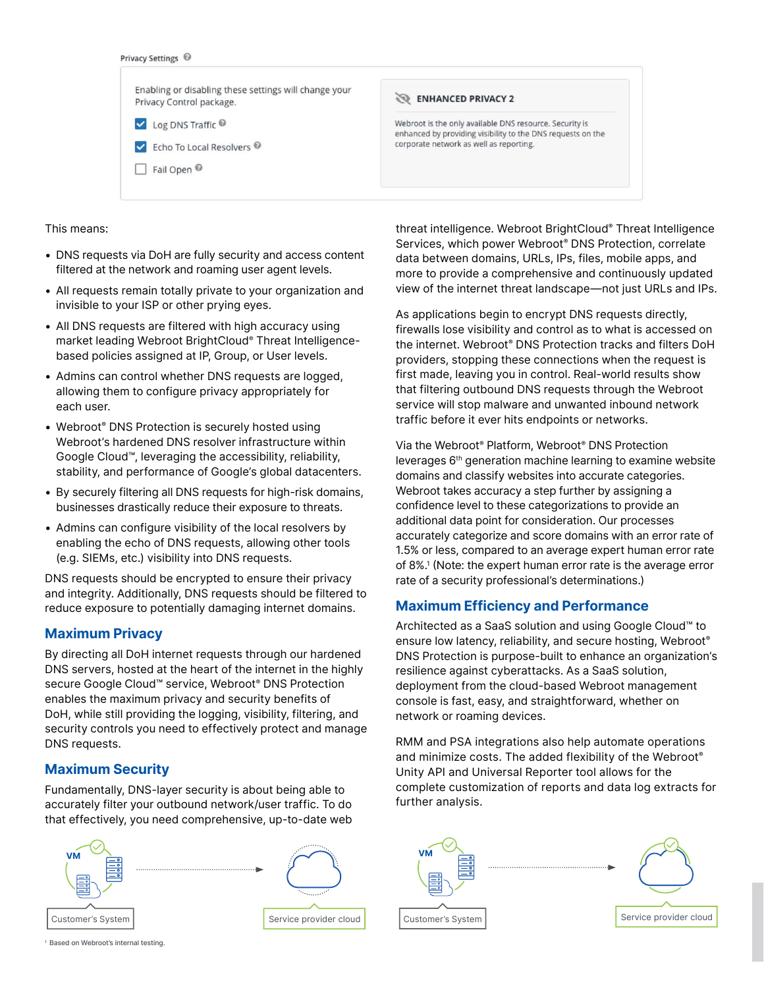

This means:

- DNS requests via DoH are fully security and access content filtered at the network and roaming user agent levels.
- All requests remain totally private to your organization and invisible to your ISP or other prying eyes.
- All DNS requests are filtered with high accuracy using market leading Webroot BrightCloud® Threat Intelligencebased policies assigned at IP, Group, or User levels.
- Admins can control whether DNS requests are logged, allowing them to configure privacy appropriately for each user.
- Webroot® DNS Protection is securely hosted using Webroot's hardened DNS resolver infrastructure within Google Cloud™, leveraging the accessibility, reliability, stability, and performance of Google's global datacenters.
- By securely filtering all DNS requests for high-risk domains, businesses drastically reduce their exposure to threats.
- Admins can configure visibility of the local resolvers by enabling the echo of DNS requests, allowing other tools (e.g. SIEMs, etc.) visibility into DNS requests.

DNS requests should be encrypted to ensure their privacy and integrity. Additionally, DNS requests should be filtered to reduce exposure to potentially damaging internet domains.

#### **Maximum Privacy**

By directing all DoH internet requests through our hardened DNS servers, hosted at the heart of the internet in the highly secure Google Cloud™ service, Webroot® DNS Protection enables the maximum privacy and security benefits of DoH, while still providing the logging, visibility, filtering, and security controls you need to effectively protect and manage DNS requests.

#### **Maximum Security**

Fundamentally, DNS-layer security is about being able to accurately filter your outbound network/user traffic. To do that effectively, you need comprehensive, up-to-date web



threat intelligence. Webroot BrightCloud® Threat Intelligence Services, which power Webroot® DNS Protection, correlate data between domains, URLs, IPs, files, mobile apps, and more to provide a comprehensive and continuously updated view of the internet threat landscape—not just URLs and IPs.

As applications begin to encrypt DNS requests directly, firewalls lose visibility and control as to what is accessed on the internet. Webroot® DNS Protection tracks and filters DoH providers, stopping these connections when the request is first made, leaving you in control. Real-world results show that filtering outbound DNS requests through the Webroot service will stop malware and unwanted inbound network traffic before it ever hits endpoints or networks.

Via the Webroot® Platform, Webroot® DNS Protection leverages 6th generation machine learning to examine website domains and classify websites into accurate categories. Webroot takes accuracy a step further by assigning a confidence level to these categorizations to provide an additional data point for consideration. Our processes accurately categorize and score domains with an error rate of 1.5% or less, compared to an average expert human error rate of 8%.1 (Note: the expert human error rate is the average error rate of a security professional's determinations.)

#### **Maximum Efficiency and Performance**

Architected as a SaaS solution and using Google Cloud™ to ensure low latency, reliability, and secure hosting, Webroot® DNS Protection is purpose-built to enhance an organization's resilience against cyberattacks. As a SaaS solution, deployment from the cloud-based Webroot management console is fast, easy, and straightforward, whether on network or roaming devices.

RMM and PSA integrations also help automate operations and minimize costs. The added flexibility of the Webroot® Unity API and Universal Reporter tool allows for the complete customization of reports and data log extracts for further analysis.



<sup>1</sup> Based on Webroot's internal testing.